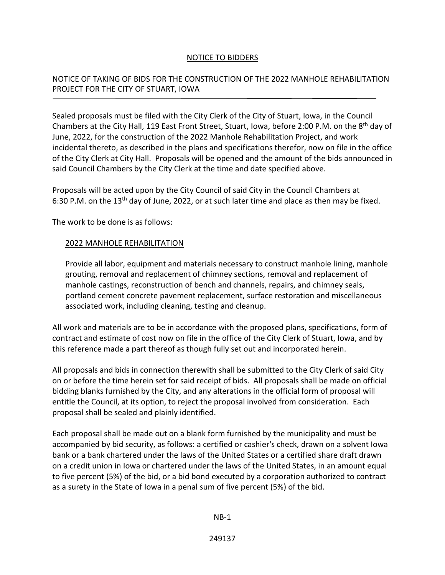## NOTICE TO BIDDERS

## NOTICE OF TAKING OF BIDS FOR THE CONSTRUCTION OF THE 2022 MANHOLE REHABILITATION PROJECT FOR THE CITY OF STUART, IOWA

Sealed proposals must be filed with the City Clerk of the City of Stuart, Iowa, in the Council Chambers at the City Hall, 119 East Front Street, Stuart, Iowa, before 2:00 P.M. on the 8th day of June, 2022, for the construction of the 2022 Manhole Rehabilitation Project, and work incidental thereto, as described in the plans and specifications therefor, now on file in the office of the City Clerk at City Hall. Proposals will be opened and the amount of the bids announced in said Council Chambers by the City Clerk at the time and date specified above.

Proposals will be acted upon by the City Council of said City in the Council Chambers at 6:30 P.M. on the 13<sup>th</sup> day of June, 2022, or at such later time and place as then may be fixed.

The work to be done is as follows:

## 2022 MANHOLE REHABILITATION

Provide all labor, equipment and materials necessary to construct manhole lining, manhole grouting, removal and replacement of chimney sections, removal and replacement of manhole castings, reconstruction of bench and channels, repairs, and chimney seals, portland cement concrete pavement replacement, surface restoration and miscellaneous associated work, including cleaning, testing and cleanup.

All work and materials are to be in accordance with the proposed plans, specifications, form of contract and estimate of cost now on file in the office of the City Clerk of Stuart, Iowa, and by this reference made a part thereof as though fully set out and incorporated herein.

All proposals and bids in connection therewith shall be submitted to the City Clerk of said City on or before the time herein set for said receipt of bids. All proposals shall be made on official bidding blanks furnished by the City, and any alterations in the official form of proposal will entitle the Council, at its option, to reject the proposal involved from consideration. Each proposal shall be sealed and plainly identified.

Each proposal shall be made out on a blank form furnished by the municipality and must be accompanied by bid security, as follows: a certified or cashier's check, drawn on a solvent Iowa bank or a bank chartered under the laws of the United States or a certified share draft drawn on a credit union in Iowa or chartered under the laws of the United States, in an amount equal to five percent (5%) of the bid, or a bid bond executed by a corporation authorized to contract as a surety in the State of Iowa in a penal sum of five percent (5%) of the bid.

NB-1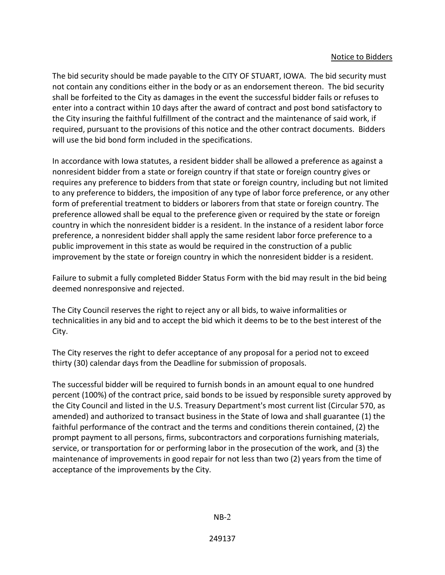The bid security should be made payable to the CITY OF STUART, IOWA. The bid security must not contain any conditions either in the body or as an endorsement thereon. The bid security shall be forfeited to the City as damages in the event the successful bidder fails or refuses to enter into a contract within 10 days after the award of contract and post bond satisfactory to the City insuring the faithful fulfillment of the contract and the maintenance of said work, if required, pursuant to the provisions of this notice and the other contract documents. Bidders will use the bid bond form included in the specifications.

In accordance with Iowa statutes, a resident bidder shall be allowed a preference as against a nonresident bidder from a state or foreign country if that state or foreign country gives or requires any preference to bidders from that state or foreign country, including but not limited to any preference to bidders, the imposition of any type of labor force preference, or any other form of preferential treatment to bidders or laborers from that state or foreign country. The preference allowed shall be equal to the preference given or required by the state or foreign country in which the nonresident bidder is a resident. In the instance of a resident labor force preference, a nonresident bidder shall apply the same resident labor force preference to a public improvement in this state as would be required in the construction of a public improvement by the state or foreign country in which the nonresident bidder is a resident.

Failure to submit a fully completed Bidder Status Form with the bid may result in the bid being deemed nonresponsive and rejected.

The City Council reserves the right to reject any or all bids, to waive informalities or technicalities in any bid and to accept the bid which it deems to be to the best interest of the City.

The City reserves the right to defer acceptance of any proposal for a period not to exceed thirty (30) calendar days from the Deadline for submission of proposals.

The successful bidder will be required to furnish bonds in an amount equal to one hundred percent (100%) of the contract price, said bonds to be issued by responsible surety approved by the City Council and listed in the U.S. Treasury Department's most current list (Circular 570, as amended) and authorized to transact business in the State of Iowa and shall guarantee (1) the faithful performance of the contract and the terms and conditions therein contained, (2) the prompt payment to all persons, firms, subcontractors and corporations furnishing materials, service, or transportation for or performing labor in the prosecution of the work, and (3) the maintenance of improvements in good repair for not less than two (2) years from the time of acceptance of the improvements by the City.

 $NB-2$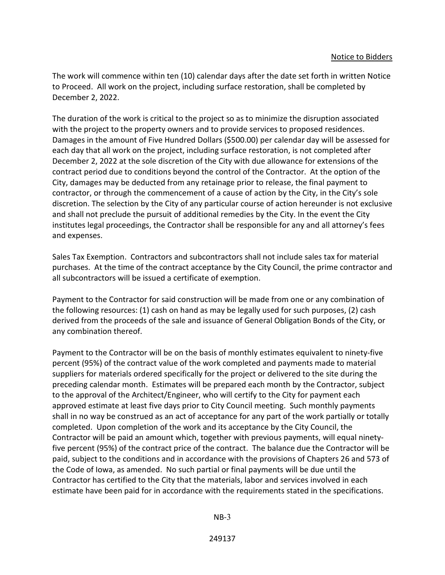The work will commence within ten (10) calendar days after the date set forth in written Notice to Proceed. All work on the project, including surface restoration, shall be completed by December 2, 2022.

The duration of the work is critical to the project so as to minimize the disruption associated with the project to the property owners and to provide services to proposed residences. Damages in the amount of Five Hundred Dollars (\$500.00) per calendar day will be assessed for each day that all work on the project, including surface restoration, is not completed after December 2, 2022 at the sole discretion of the City with due allowance for extensions of the contract period due to conditions beyond the control of the Contractor. At the option of the City, damages may be deducted from any retainage prior to release, the final payment to contractor, or through the commencement of a cause of action by the City, in the City's sole discretion. The selection by the City of any particular course of action hereunder is not exclusive and shall not preclude the pursuit of additional remedies by the City. In the event the City institutes legal proceedings, the Contractor shall be responsible for any and all attorney's fees and expenses.

Sales Tax Exemption. Contractors and subcontractors shall not include sales tax for material purchases. At the time of the contract acceptance by the City Council, the prime contractor and all subcontractors will be issued a certificate of exemption.

Payment to the Contractor for said construction will be made from one or any combination of the following resources: (1) cash on hand as may be legally used for such purposes, (2) cash derived from the proceeds of the sale and issuance of General Obligation Bonds of the City, or any combination thereof.

Payment to the Contractor will be on the basis of monthly estimates equivalent to ninety-five percent (95%) of the contract value of the work completed and payments made to material suppliers for materials ordered specifically for the project or delivered to the site during the preceding calendar month. Estimates will be prepared each month by the Contractor, subject to the approval of the Architect/Engineer, who will certify to the City for payment each approved estimate at least five days prior to City Council meeting. Such monthly payments shall in no way be construed as an act of acceptance for any part of the work partially or totally completed. Upon completion of the work and its acceptance by the City Council, the Contractor will be paid an amount which, together with previous payments, will equal ninetyfive percent (95%) of the contract price of the contract. The balance due the Contractor will be paid, subject to the conditions and in accordance with the provisions of Chapters 26 and 573 of the Code of Iowa, as amended. No such partial or final payments will be due until the Contractor has certified to the City that the materials, labor and services involved in each estimate have been paid for in accordance with the requirements stated in the specifications.